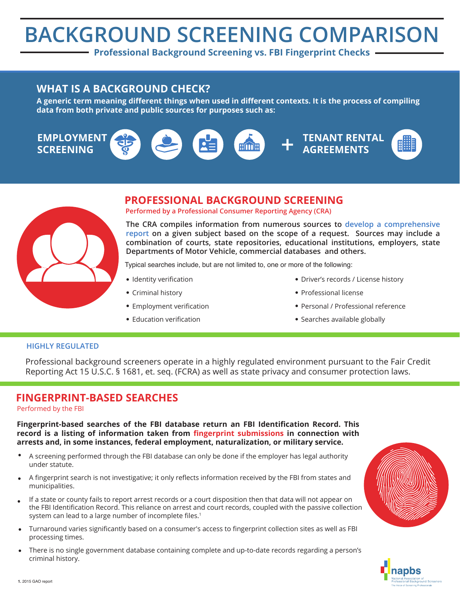# **BACKGROUND SCREENING COMPARISON**

**Professional Background Screening vs. FBI Fingerprint Checks** 

### **WHAT IS A BACKGROUND CHECK?**

A generic term meaning different things when used in different contexts. It is the process of compiling data from both private and public sources for purposes such as:





## **PROFESSIONAL BACKGROUND SCREENING**

**Performed by a Professional Consumer Reporting Agency (CRA)**

**The CRA compiles information from numerous sources to develop a comprehensive**  report on a given subject based on the scope of a request. Sources may include a **combination of courts, state repositories, educational institutions, employers, state**  Departments of Motor Vehicle, commercial databases and others.

Typical searches include, but are not limited to, one or more of the following:

- Identity verification
- Criminal history
- Employment verification
- Education verification
- . Driver's records / License history
- Professional license
- Personal / Professional reference
- Searches available globally

#### **HIGHLY REGULATED**

Professional background screeners operate in a highly regulated environment pursuant to the Fair Credit Reporting Act 15 U.S.C. § 1681, et. seq. (FCRA) as well as state privacy and consumer protection laws.

## **FINGERPRINT-BASED SEARCHES**

Performed by the FBI

Fingerprint-based searches of the FBI database return an FBI Identification Record. This record is a listing of information taken from fingerprint submissions in connection with arrests and, in some instances, federal employment, naturalization, or military service.

- A screening performed through the FBI database can only be done if the employer has legal authority under statute.
- A fingerprint search is not investigative; it only reflects information received by the FBI from states and municipalities.
- If a state or county fails to report arrest records or a court disposition then that data will not appear on the FBI Identification Record. This reliance on arrest and court records, coupled with the passive collection system can lead to a large number of incomplete files.<sup>1</sup>
- Turnaround varies significantly based on a consumer's access to fingerprint collection sites as well as FBI processing times.
- There is no single government database containing complete and up-to-date records regarding a person's criminal history.